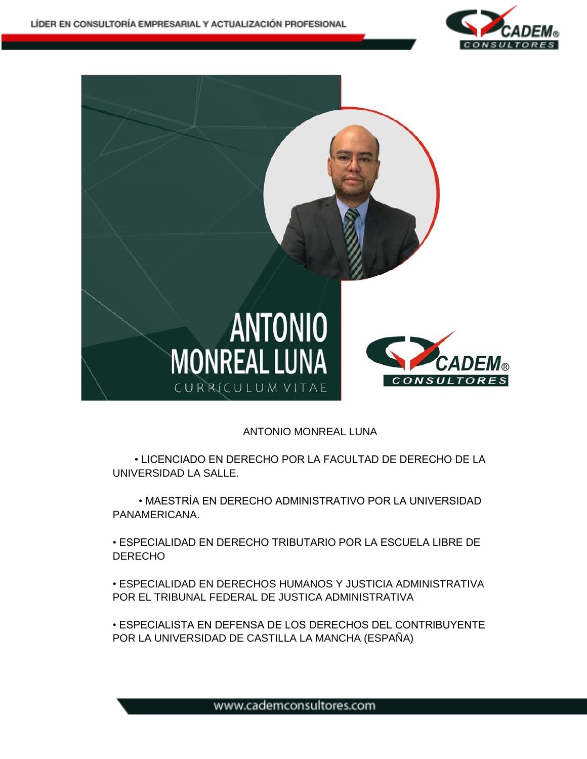



## ANTONIO MONREAL LUNA

• LICENCIADO EN DERECHO POR LA FACULTAD DE DERECHO DE LA UNIVERSIDAD LA SALLE.

• MAESTRÍA EN DERECHO ADMINISTRATIVO POR LA UNIVERSIDAD PANAMERICANA.

• ESPECIALIDAD EN DERECHO TRIBUTARIO POR LA ESCUELA LIBRE DE **DERECHO** 

• ESPECIALIDAD EN DERECHOS HUMANOS Y JUSTICIA ADMINISTRATIVA POR EL TRIBUNAL FEDERAL DE JUSTICA ADMINISTRATIVA

• ESPECIALISTA EN DEFENSA DE LOS DERECHOS DEL CONTRIBUYENTE POR LA UNIVERSIDAD DE CASTILLA LA MANCHA (ESPAÑA)